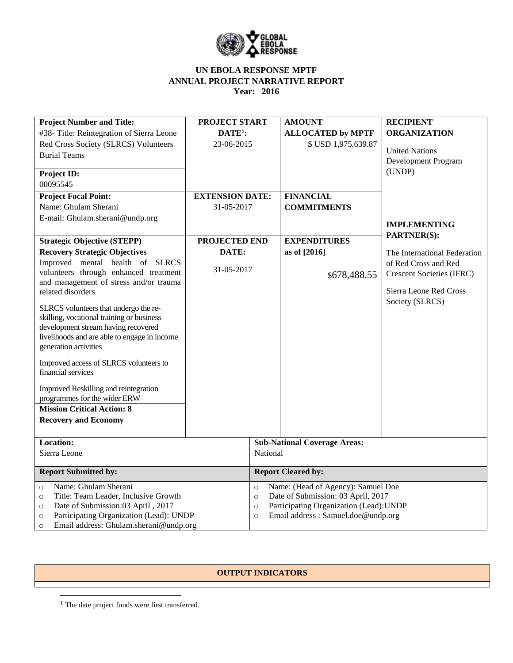

| <b>Project Number and Title:</b>                                      | <b>PROJECT START</b>   |                                                    | <b>AMOUNT</b>                       | <b>RECIPIENT</b>                 |
|-----------------------------------------------------------------------|------------------------|----------------------------------------------------|-------------------------------------|----------------------------------|
| #38- Title: Reintegration of Sierra Leone                             | $DATE1$ :              |                                                    | <b>ALLOCATED by MPTF</b>            | <b>ORGANIZATION</b>              |
| Red Cross Society (SLRCS) Volunteers                                  | 23-06-2015             |                                                    | \$ USD 1,975,639.87                 |                                  |
| <b>Burial Teams</b>                                                   |                        |                                                    |                                     | <b>United Nations</b>            |
|                                                                       |                        |                                                    |                                     | Development Program<br>(UNDP)    |
| Project ID:                                                           |                        |                                                    |                                     |                                  |
| 00095545                                                              |                        |                                                    |                                     |                                  |
| <b>Project Focal Point:</b>                                           | <b>EXTENSION DATE:</b> |                                                    | <b>FINANCIAL</b>                    |                                  |
| Name: Ghulam Sherani                                                  | 31-05-2017             |                                                    | <b>COMMITMENTS</b>                  |                                  |
| E-mail: Ghulam.sherani@undp.org                                       |                        |                                                    |                                     | <b>IMPLEMENTING</b>              |
|                                                                       |                        |                                                    |                                     | <b>PARTNER(S):</b>               |
| <b>Strategic Objective (STEPP)</b>                                    | PROJECTED END          |                                                    | <b>EXPENDITURES</b>                 |                                  |
| <b>Recovery Strategic Objectives</b>                                  | DATE:                  |                                                    | as of [2016]                        | The International Federation     |
| Improved mental health of SLRCS                                       |                        |                                                    |                                     | of Red Cross and Red             |
| volunteers through enhanced treatment                                 | 31-05-2017             |                                                    | \$678,488.55                        | <b>Crescent Societies (IFRC)</b> |
| and management of stress and/or trauma                                |                        |                                                    |                                     |                                  |
| related disorders                                                     |                        |                                                    |                                     | Sierra Leone Red Cross           |
| SLRCS volunteers that undergo the re-                                 |                        |                                                    |                                     | Society (SLRCS)                  |
| skilling, vocational training or business                             |                        |                                                    |                                     |                                  |
| development stream having recovered                                   |                        |                                                    |                                     |                                  |
| livelihoods and are able to engage in income                          |                        |                                                    |                                     |                                  |
| generation activities                                                 |                        |                                                    |                                     |                                  |
| Improved access of SLRCS volunteers to                                |                        |                                                    |                                     |                                  |
| financial services                                                    |                        |                                                    |                                     |                                  |
|                                                                       |                        |                                                    |                                     |                                  |
| Improved Reskilling and reintegration<br>programmes for the wider ERW |                        |                                                    |                                     |                                  |
| <b>Mission Critical Action: 8</b>                                     |                        |                                                    |                                     |                                  |
| <b>Recovery and Economy</b>                                           |                        |                                                    |                                     |                                  |
|                                                                       |                        |                                                    |                                     |                                  |
| Location:                                                             |                        |                                                    | <b>Sub-National Coverage Areas:</b> |                                  |
| Sierra Leone                                                          |                        | National                                           |                                     |                                  |
|                                                                       |                        |                                                    |                                     |                                  |
| <b>Report Submitted by:</b>                                           |                        |                                                    | <b>Report Cleared by:</b>           |                                  |
| Name: Ghulam Sherani<br>$\circ$                                       |                        | Name: (Head of Agency): Samuel Doe<br>$\circ$      |                                     |                                  |
| Title: Team Leader, Inclusive Growth<br>$\circ$                       |                        | Date of Submission: 03 April, 2017<br>$\circ$      |                                     |                                  |
| Date of Submission:03 April, 2017<br>$\circ$                          |                        | Participating Organization (Lead): UNDP<br>$\circ$ |                                     |                                  |
| Participating Organization (Lead): UNDP<br>$\circ$                    |                        | $\circ$                                            | Email address: Samuel.doe@undp.org  |                                  |
| Email address: Ghulam.sherani@undp.org<br>$\circ$                     |                        |                                                    |                                     |                                  |

## **OUTPUT INDICATORS**

 $\overline{\phantom{a}}$ 

<sup>&</sup>lt;sup>1</sup> The date project funds were first transferred.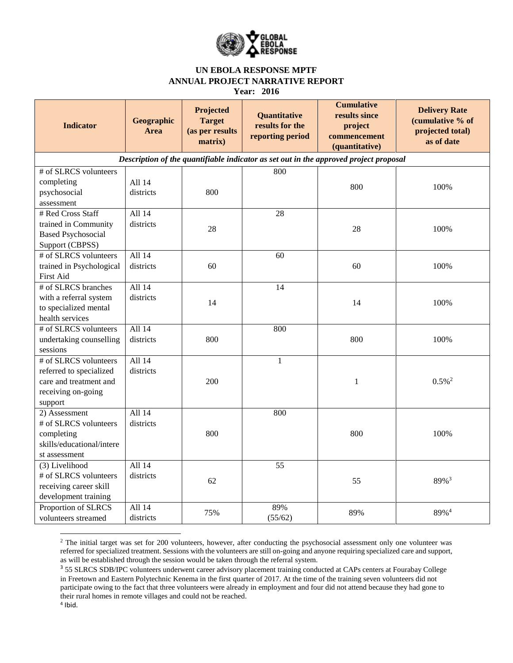

| <b>Indicator</b>                                                                                            | Geographic<br>Area    | Projected<br><b>Target</b><br>(as per results<br>matrix) | <b>Quantitative</b><br>results for the<br>reporting period | <b>Cumulative</b><br>results since<br>project<br>commencement<br>(quantitative)       | <b>Delivery Rate</b><br>(cumulative % of<br>projected total)<br>as of date |
|-------------------------------------------------------------------------------------------------------------|-----------------------|----------------------------------------------------------|------------------------------------------------------------|---------------------------------------------------------------------------------------|----------------------------------------------------------------------------|
|                                                                                                             |                       |                                                          |                                                            | Description of the quantifiable indicator as set out in the approved project proposal |                                                                            |
| # of SLRCS volunteers<br>completing<br>psychosocial<br>assessment                                           | All 14<br>districts   | 800                                                      | 800                                                        | 800                                                                                   | 100%                                                                       |
| # Red Cross Staff<br>trained in Community<br><b>Based Psychosocial</b><br>Support (CBPSS)                   | All 14<br>districts   | 28                                                       | 28                                                         | 28                                                                                    | 100%                                                                       |
| # of SLRCS volunteers<br>trained in Psychological<br>First Aid                                              | All 14<br>districts   | 60                                                       | 60                                                         | 60                                                                                    | 100%                                                                       |
| # of SLRCS branches<br>with a referral system<br>to specialized mental<br>health services                   | All 14<br>districts   | 14                                                       | 14                                                         | 14                                                                                    | 100%                                                                       |
| # of SLRCS volunteers<br>undertaking counselling<br>sessions                                                | All 14<br>districts   | 800                                                      | 800                                                        | 800                                                                                   | 100%                                                                       |
| # of SLRCS volunteers<br>referred to specialized<br>care and treatment and<br>receiving on-going<br>support | All 14<br>districts   | 200                                                      | $\mathbf{1}$                                               | $\mathbf{1}$                                                                          | $0.5\%$ <sup>2</sup>                                                       |
| 2) Assessment<br># of SLRCS volunteers<br>completing<br>skills/educational/intere<br>st assessment          | All 14<br>districts   | 800                                                      | 800                                                        | 800                                                                                   | 100%                                                                       |
| (3) Livelihood<br># of SLRCS volunteers<br>receiving career skill<br>development training                   | All 14<br>districts   | 62                                                       | $\overline{55}$                                            | 55                                                                                    | 89% <sup>3</sup>                                                           |
| Proportion of SLRCS<br>volunteers streamed                                                                  | All $14$<br>districts | 75%                                                      | 89%<br>(55/62)                                             | 89%                                                                                   | 89% <sup>4</sup>                                                           |

<sup>&</sup>lt;sup>2</sup> The initial target was set for 200 volunteers, however, after conducting the psychosocial assessment only one volunteer was referred for specialized treatment. Sessions with the volunteers are still on-going and anyone requiring specialized care and support, as will be established through the session would be taken through the referral system.

 $\overline{\phantom{a}}$ 

<sup>&</sup>lt;sup>3</sup> 55 SLRCS SDB/IPC volunteers underwent career advisory placement training conducted at CAPs centers at Fourabay College in Freetown and Eastern Polytechnic Kenema in the first quarter of 2017. At the time of the training seven volunteers did not participate owing to the fact that three volunteers were already in employment and four did not attend because they had gone to their rural homes in remote villages and could not be reached.

<sup>4</sup> Ibid.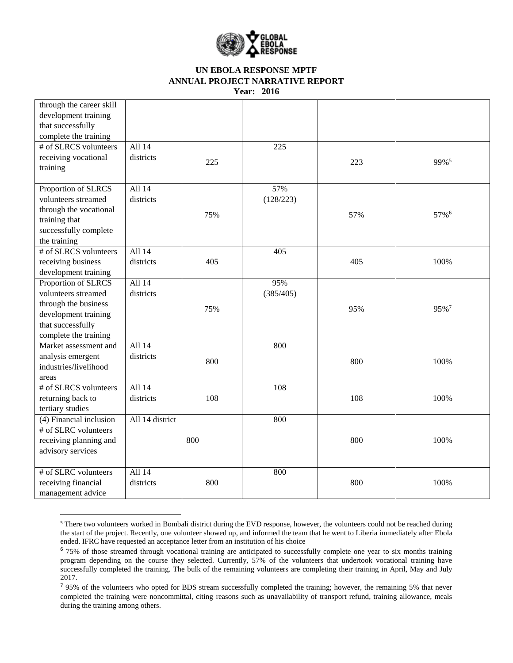

| through the career skill<br>development training |                 |     |           |     |                  |
|--------------------------------------------------|-----------------|-----|-----------|-----|------------------|
| that successfully                                |                 |     |           |     |                  |
| complete the training                            |                 |     |           |     |                  |
| # of SLRCS volunteers                            | All 14          |     | 225       |     |                  |
| receiving vocational                             | districts       | 225 |           | 223 | 99%5             |
| training                                         |                 |     |           |     |                  |
| Proportion of SLRCS                              | All 14          |     | 57%       |     |                  |
| volunteers streamed                              | districts       |     | (128/223) |     |                  |
| through the vocational                           |                 | 75% |           | 57% | 57%6             |
| training that                                    |                 |     |           |     |                  |
| successfully complete                            |                 |     |           |     |                  |
| the training                                     |                 |     |           |     |                  |
| # of SLRCS volunteers                            | All 14          |     | 405       |     |                  |
| receiving business                               | districts       | 405 |           | 405 | 100%             |
| development training                             |                 |     |           |     |                  |
| Proportion of SLRCS                              | All 14          |     | 95%       |     |                  |
| volunteers streamed                              | districts       |     | (385/405) |     |                  |
| through the business                             |                 | 75% |           | 95% | 95% <sup>7</sup> |
| development training                             |                 |     |           |     |                  |
| that successfully                                |                 |     |           |     |                  |
| complete the training                            |                 |     |           |     |                  |
| Market assessment and                            | All 14          |     | 800       |     |                  |
| analysis emergent                                | districts       | 800 |           | 800 | 100%             |
| industries/livelihood                            |                 |     |           |     |                  |
| areas                                            |                 |     |           |     |                  |
| # of SLRCS volunteers                            | All 14          |     | 108       |     |                  |
| returning back to                                | districts       | 108 |           | 108 | 100%             |
| tertiary studies                                 |                 |     |           |     |                  |
| $(4)$ Financial inclusion                        | All 14 district |     | 800       |     |                  |
| # of SLRC volunteers                             |                 |     |           |     |                  |
| receiving planning and                           |                 | 800 |           | 800 | 100%             |
| advisory services                                |                 |     |           |     |                  |
| # of SLRC volunteers                             | All 14          |     | 800       |     |                  |
| receiving financial                              | districts       | 800 |           | 800 | 100%             |
|                                                  |                 |     |           |     |                  |
| management advice                                |                 |     |           |     |                  |

<sup>5</sup> There two volunteers worked in Bombali district during the EVD response, however, the volunteers could not be reached during the start of the project. Recently, one volunteer showed up, and informed the team that he went to Liberia immediately after Ebola ended. IFRC have requested an acceptance letter from an institution of his choice

 $\overline{\phantom{a}}$ 

<sup>&</sup>lt;sup>6</sup> 75% of those streamed through vocational training are anticipated to successfully complete one year to six months training program depending on the course they selected. Currently, 57% of the volunteers that undertook vocational training have successfully completed the training. The bulk of the remaining volunteers are completing their training in April, May and July 2017.

<sup>&</sup>lt;sup>7</sup> 95% of the volunteers who opted for BDS stream successfully completed the training; however, the remaining 5% that never completed the training were noncommittal, citing reasons such as unavailability of transport refund, training allowance, meals during the training among others.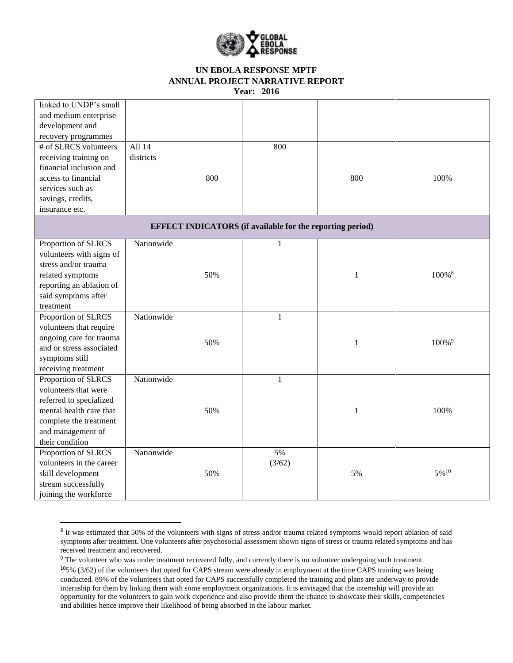

| linked to UNDP's small   |            |     |                                                                  |     |                      |
|--------------------------|------------|-----|------------------------------------------------------------------|-----|----------------------|
| and medium enterprise    |            |     |                                                                  |     |                      |
| development and          |            |     |                                                                  |     |                      |
| recovery programmes      |            |     |                                                                  |     |                      |
| # of SLRCS volunteers    | All 14     |     | 800                                                              |     |                      |
| receiving training on    | districts  |     |                                                                  |     |                      |
| financial inclusion and  |            |     |                                                                  |     |                      |
| access to financial      |            | 800 |                                                                  | 800 | 100%                 |
| services such as         |            |     |                                                                  |     |                      |
| savings, credits,        |            |     |                                                                  |     |                      |
| insurance etc.           |            |     |                                                                  |     |                      |
|                          |            |     |                                                                  |     |                      |
|                          |            |     | <b>EFFECT INDICATORS</b> (if available for the reporting period) |     |                      |
| Proportion of SLRCS      | Nationwide |     | $\mathbf{1}$                                                     |     |                      |
| volunteers with signs of |            |     |                                                                  |     |                      |
| stress and/or trauma     |            |     |                                                                  |     |                      |
| related symptoms         |            | 50% |                                                                  | 1   | 100%8                |
| reporting an ablation of |            |     |                                                                  |     |                      |
| said symptoms after      |            |     |                                                                  |     |                      |
| treatment                |            |     |                                                                  |     |                      |
| Proportion of SLRCS      | Nationwide |     | 1                                                                |     |                      |
| volunteers that require  |            |     |                                                                  |     |                      |
| ongoing care for trauma  |            | 50% |                                                                  | 1   | $100\%$ <sup>9</sup> |
| and or stress associated |            |     |                                                                  |     |                      |
| symptoms still           |            |     |                                                                  |     |                      |
| receiving treatment      |            |     |                                                                  |     |                      |
| Proportion of SLRCS      | Nationwide |     | $\mathbf{1}$                                                     |     |                      |
| volunteers that were     |            |     |                                                                  |     |                      |
| referred to specialized  |            |     |                                                                  |     |                      |
| mental health care that  |            | 50% |                                                                  | 1   | 100%                 |
| complete the treatment   |            |     |                                                                  |     |                      |
| and management of        |            |     |                                                                  |     |                      |
| their condition          |            |     |                                                                  |     |                      |
| Proportion of SLRCS      | Nationwide |     | 5%                                                               |     |                      |
| volunteers in the career |            |     | (3/62)                                                           |     |                      |
| skill development        |            | 50% |                                                                  | 5%  | 5%10                 |
| stream successfully      |            |     |                                                                  |     |                      |
| joining the workforce    |            |     |                                                                  |     |                      |

<sup>&</sup>lt;sup>8</sup> It was estimated that 50% of the volunteers with signs of stress and/or trauma related symptoms would report ablation of said symptoms after treatment. One volunteers after psychosocial assessment shown signs of stress or trauma related symptoms and has received treatment and recovered.

 $\overline{a}$ 

<sup>&</sup>lt;sup>9</sup> The volunteer who was under treatment recovered fully, and currently there is no volunteer undergoing such treatment.

 $105\%$  (3/62) of the volunteers that opted for CAPS stream were already in employment at the time CAPS training was being conducted. 89% of the volunteers that opted for CAPS successfully completed the training and plans are underway to provide internship for them by linking them with some employment organizations. It is envisaged that the internship will provide an opportunity for the volunteers to gain work experience and also provide them the chance to showcase their skills, competencies and abilities hence improve their likelihood of being absorbed in the labour market.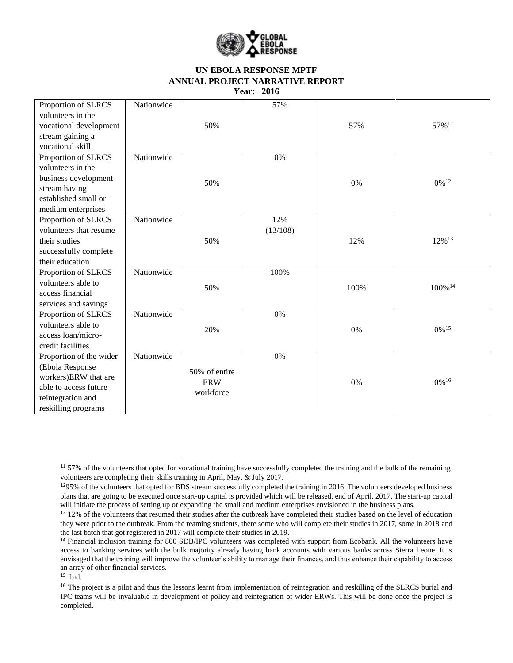

| Proportion of SLRCS     | Nationwide |               | 57%      |      |                     |
|-------------------------|------------|---------------|----------|------|---------------------|
| volunteers in the       |            |               |          |      |                     |
| vocational development  |            | 50%           |          | 57%  | 57%11               |
| stream gaining a        |            |               |          |      |                     |
| vocational skill        |            |               |          |      |                     |
| Proportion of SLRCS     | Nationwide |               | 0%       |      |                     |
| volunteers in the       |            |               |          |      |                     |
| business development    |            | 50%           |          | 0%   | $0\%$ <sup>12</sup> |
| stream having           |            |               |          |      |                     |
| established small or    |            |               |          |      |                     |
| medium enterprises      |            |               |          |      |                     |
| Proportion of SLRCS     | Nationwide |               | 12%      |      |                     |
| volunteers that resume  |            |               | (13/108) |      |                     |
| their studies           |            | 50%           |          | 12%  | 12%13               |
| successfully complete   |            |               |          |      |                     |
| their education         |            |               |          |      |                     |
| Proportion of SLRCS     | Nationwide |               | 100%     |      |                     |
| volunteers able to      |            | 50%           |          | 100% | 100%14              |
| access financial        |            |               |          |      |                     |
| services and savings    |            |               |          |      |                     |
| Proportion of SLRCS     | Nationwide |               | 0%       |      |                     |
| volunteers able to      |            | 20%           |          | 0%   | $0\%$ <sup>15</sup> |
| access loan/micro-      |            |               |          |      |                     |
| credit facilities       |            |               |          |      |                     |
| Proportion of the wider | Nationwide |               | 0%       |      |                     |
| (Ebola Response         |            | 50% of entire |          |      |                     |
| workers)ERW that are    |            | <b>ERW</b>    |          | 0%   | $0\%$ <sup>16</sup> |
| able to access future   |            |               |          |      |                     |
| reintegration and       |            | workforce     |          |      |                     |
| reskilling programs     |            |               |          |      |                     |

 $\overline{a}$ 

 $11$  57% of the volunteers that opted for vocational training have successfully completed the training and the bulk of the remaining volunteers are completing their skills training in April, May, & July 2017.

 $1295\%$  of the volunteers that opted for BDS stream successfully completed the training in 2016. The volunteers developed business plans that are going to be executed once start-up capital is provided which will be released, end of April, 2017. The start-up capital will initiate the process of setting up or expanding the small and medium enterprises envisioned in the business plans.

<sup>&</sup>lt;sup>13</sup> 12% of the volunteers that resumed their studies after the outbreak have completed their studies based on the level of education they were prior to the outbreak. From the reaming students, there some who will complete their studies in 2017, some in 2018 and the last batch that got registered in 2017 will complete their studies in 2019.

<sup>14</sup> Financial inclusion training for 800 SDB/IPC volunteers was completed with support from Ecobank. All the volunteers have access to banking services with the bulk majority already having bank accounts with various banks across Sierra Leone. It is envisaged that the training will improve the volunteer's ability to manage their finances, and thus enhance their capability to access an array of other financial services.

 $15$  Ibid.

<sup>&</sup>lt;sup>16</sup> The project is a pilot and thus the lessons learnt from implementation of reintegration and reskilling of the SLRCS burial and IPC teams will be invaluable in development of policy and reintegration of wider ERWs. This will be done once the project is completed.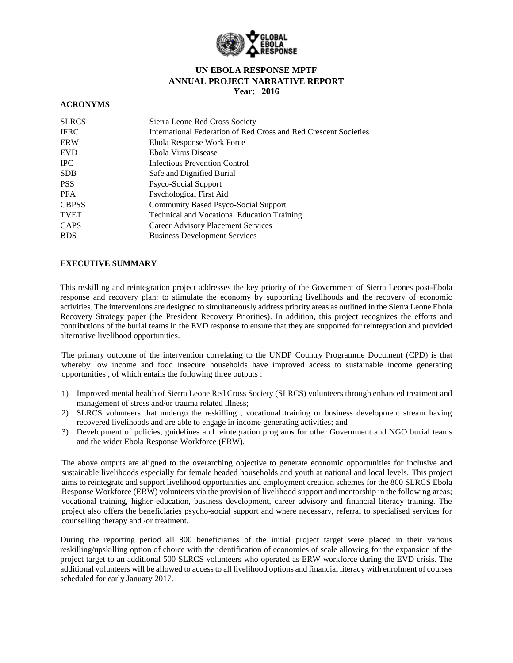

#### **ACRONYMS**

| <b>SLRCS</b> | Sierra Leone Red Cross Society                                   |
|--------------|------------------------------------------------------------------|
| <b>IFRC</b>  | International Federation of Red Cross and Red Crescent Societies |
| ERW          | Ebola Response Work Force                                        |
| <b>EVD</b>   | Ebola Virus Disease                                              |
| <b>IPC</b>   | <b>Infectious Prevention Control</b>                             |
| <b>SDB</b>   | Safe and Dignified Burial                                        |
| <b>PSS</b>   | Psyco-Social Support                                             |
| PFA          | Psychological First Aid                                          |
| <b>CBPSS</b> | Community Based Psyco-Social Support                             |
| TVET         | <b>Technical and Vocational Education Training</b>               |
| <b>CAPS</b>  | Career Advisory Placement Services                               |
| <b>BDS</b>   | <b>Business Development Services</b>                             |

#### **EXECUTIVE SUMMARY**

This reskilling and reintegration project addresses the key priority of the Government of Sierra Leones post-Ebola response and recovery plan: to stimulate the economy by supporting livelihoods and the recovery of economic activities. The interventions are designed to simultaneously address priority areas as outlined in the Sierra Leone Ebola Recovery Strategy paper (the President Recovery Priorities). In addition, this project recognizes the efforts and contributions of the burial teams in the EVD response to ensure that they are supported for reintegration and provided alternative livelihood opportunities.

The primary outcome of the intervention correlating to the UNDP Country Programme Document (CPD) is that whereby low income and food insecure households have improved access to sustainable income generating opportunities , of which entails the following three outputs :

- 1) Improved mental health of Sierra Leone Red Cross Society (SLRCS) volunteers through enhanced treatment and management of stress and/or trauma related illness;
- 2) SLRCS volunteers that undergo the reskilling , vocational training or business development stream having recovered livelihoods and are able to engage in income generating activities; and
- 3) Development of policies, guidelines and reintegration programs for other Government and NGO burial teams and the wider Ebola Response Workforce (ERW).

The above outputs are aligned to the overarching objective to generate economic opportunities for inclusive and sustainable livelihoods especially for female headed households and youth at national and local levels. This project aims to reintegrate and support livelihood opportunities and employment creation schemes for the 800 SLRCS Ebola Response Workforce (ERW) volunteers via the provision of livelihood support and mentorship in the following areas; vocational training, higher education, business development, career advisory and financial literacy training. The project also offers the beneficiaries psycho-social support and where necessary, referral to specialised services for counselling therapy and /or treatment.

During the reporting period all 800 beneficiaries of the initial project target were placed in their various reskilling/upskilling option of choice with the identification of economies of scale allowing for the expansion of the project target to an additional 500 SLRCS volunteers who operated as ERW workforce during the EVD crisis. The additional volunteers will be allowed to access to all livelihood options and financial literacy with enrolment of courses scheduled for early January 2017.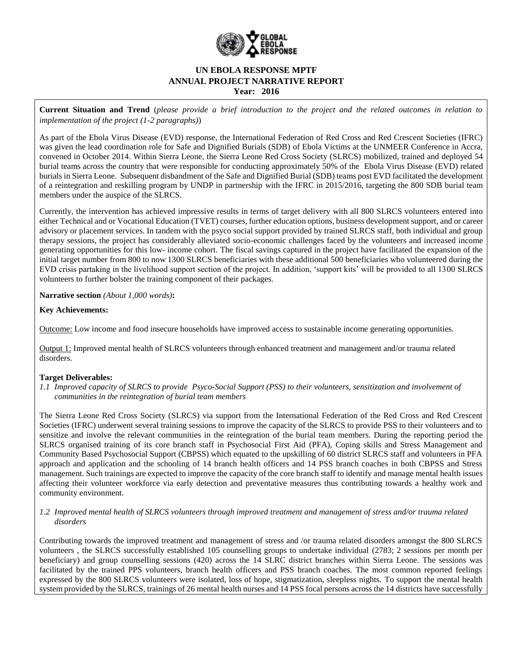

**Current Situation and Trend** (*please provide a brief introduction to the project and the related outcomes in relation to implementation of the project (1-2 paragraphs)*)

As part of the Ebola Virus Disease (EVD) response, the International Federation of Red Cross and Red Crescent Societies (IFRC) was given the lead coordination role for Safe and Dignified Burials (SDB) of Ebola Victims at the UNMEER Conference in Accra, convened in October 2014. Within Sierra Leone, the Sierra Leone Red Cross Society (SLRCS) mobilized, trained and deployed 54 burial teams across the country that were responsible for conducting approximately 50% of the Ebola Virus Disease (EVD) related burials in Sierra Leone. Subsequent disbandment of the Safe and Dignified Burial (SDB) teams post EVD facilitated the development of a reintegration and reskilling program by UNDP in partnership with the IFRC in 2015/2016, targeting the 800 SDB burial team members under the auspice of the SLRCS.

Currently, the intervention has achieved impressive results in terms of target delivery with all 800 SLRCS volunteers entered into either Technical and or Vocational Education (TVET) courses, further education options, business development support, and or career advisory or placement services. In tandem with the psyco social support provided by trained SLRCS staff, both individual and group therapy sessions, the project has considerably alleviated socio-economic challenges faced by the volunteers and increased income generating opportunities for this low- income cohort. The fiscal savings captured in the project have facilitated the expansion of the initial target number from 800 to now 1300 SLRCS beneficiaries with these additional 500 beneficiaries who volunteered during the EVD crisis partaking in the livelihood support section of the project. In addition, 'support kits' will be provided to all 1300 SLRCS volunteers to further bolster the training component of their packages.

### **Narrative section** *(About 1,000 words)***:**

#### **Key Achievements:**

Outcome: Low income and food insecure households have improved access to sustainable income generating opportunities.

Output 1: Improved mental health of SLRCS volunteers through enhanced treatment and management and/or trauma related disorders.

### **Target Deliverables:**

*1.1 Improved capacity of SLRCS to provide Psyco-Social Support (PSS) to their volunteers, sensitization and involvement of communities in the reintegration of burial team members* 

The Sierra Leone Red Cross Society (SLRCS) via support from the International Federation of the Red Cross and Red Crescent Societies (IFRC) underwent several training sessions to improve the capacity of the SLRCS to provide PSS to their volunteers and to sensitize and involve the relevant communities in the reintegration of the burial team members. During the reporting period the SLRCS organised training of its core branch staff in Psychosocial First Aid (PFA), Coping skills and Stress Management and Community Based Psychosocial Support (CBPSS) which equated to the upskilling of 60 district SLRCS staff and volunteers in PFA approach and application and the schooling of 14 branch health officers and 14 PSS branch coaches in both CBPSS and Stress management. Such trainings are expected to improve the capacity of the core branch staff to identify and manage mental health issues affecting their volunteer workforce via early detection and preventative measures thus contributing towards a healthy work and community environment.

#### *1.2 Improved mental health of SLRCS volunteers through improved treatment and management of stress and/or trauma related disorders*

Contributing towards the improved treatment and management of stress and /or trauma related disorders amongst the 800 SLRCS volunteers , the SLRCS successfully established 105 counselling groups to undertake individual (2783; 2 sessions per month per beneficiary) and group counselling sessions (420) across the 14 SLRC district branches within Sierra Leone. The sessions was facilitated by the trained PPS volunteers, branch health officers and PSS branch coaches. The most common reported feelings expressed by the 800 SLRCS volunteers were isolated, loss of hope, stigmatization, sleepless nights. To support the mental health system provided by the SLRCS, trainings of 26 mental health nurses and 14 PSS focal persons across the 14 districts have successfully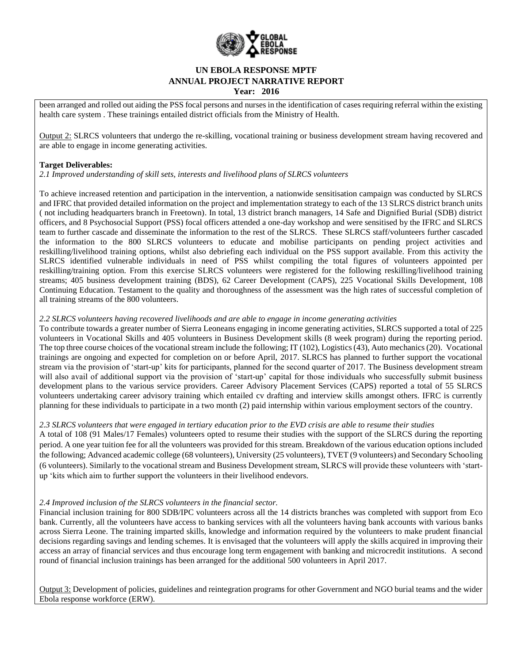

been arranged and rolled out aiding the PSS focal persons and nurses in the identification of cases requiring referral within the existing health care system . These trainings entailed district officials from the Ministry of Health.

Output 2: SLRCS volunteers that undergo the re-skilling, vocational training or business development stream having recovered and are able to engage in income generating activities.

#### **Target Deliverables:**

*2.1 Improved understanding of skill sets, interests and livelihood plans of SLRCS volunteers*

To achieve increased retention and participation in the intervention, a nationwide sensitisation campaign was conducted by SLRCS and IFRC that provided detailed information on the project and implementation strategy to each of the 13 SLRCS district branch units ( not including headquarters branch in Freetown). In total, 13 district branch managers, 14 Safe and Dignified Burial (SDB) district officers, and 8 Psychosocial Support (PSS) focal officers attended a one-day workshop and were sensitised by the IFRC and SLRCS team to further cascade and disseminate the information to the rest of the SLRCS. These SLRCS staff/volunteers further cascaded the information to the 800 SLRCS volunteers to educate and mobilise participants on pending project activities and reskilling/livelihood training options, whilst also debriefing each individual on the PSS support available. From this activity the SLRCS identified vulnerable individuals in need of PSS whilst compiling the total figures of volunteers appointed per reskilling/training option. From this exercise SLRCS volunteers were registered for the following reskilling/livelihood training streams; 405 business development training (BDS), 62 Career Development (CAPS), 225 Vocational Skills Development, 108 Continuing Education. Testament to the quality and thoroughness of the assessment was the high rates of successful completion of all training streams of the 800 volunteers.

### *2.2 SLRCS volunteers having recovered livelihoods and are able to engage in income generating activities*

To contribute towards a greater number of Sierra Leoneans engaging in income generating activities, SLRCS supported a total of 225 volunteers in Vocational Skills and 405 volunteers in Business Development skills (8 week program) during the reporting period. The top three course choices of the vocational stream include the following; IT (102), Logistics (43), Auto mechanics (20). Vocational trainings are ongoing and expected for completion on or before April, 2017. SLRCS has planned to further support the vocational stream via the provision of 'start-up' kits for participants, planned for the second quarter of 2017. The Business development stream will also avail of additional support via the provision of 'start-up' capital for those individuals who successfully submit business development plans to the various service providers. Career Advisory Placement Services (CAPS) reported a total of 55 SLRCS volunteers undertaking career advisory training which entailed cv drafting and interview skills amongst others. IFRC is currently planning for these individuals to participate in a two month (2) paid internship within various employment sectors of the country.

### *2.3 SLRCS volunteers that were engaged in tertiary education prior to the EVD crisis are able to resume their studies*

A total of 108 (91 Males/17 Females) volunteers opted to resume their studies with the support of the SLRCS during the reporting period. A one year tuition fee for all the volunteers was provided for this stream. Breakdown of the various education options included the following; Advanced academic college (68 volunteers), University (25 volunteers), TVET (9 volunteers) and Secondary Schooling (6 volunteers). Similarly to the vocational stream and Business Development stream, SLRCS will provide these volunteers with 'startup 'kits which aim to further support the volunteers in their livelihood endevors.

#### *2.4 Improved inclusion of the SLRCS volunteers in the financial sector.*

Financial inclusion training for 800 SDB/IPC volunteers across all the 14 districts branches was completed with support from Eco bank. Currently, all the volunteers have access to banking services with all the volunteers having bank accounts with various banks across Sierra Leone. The training imparted skills, knowledge and information required by the volunteers to make prudent financial decisions regarding savings and lending schemes. It is envisaged that the volunteers will apply the skills acquired in improving their access an array of financial services and thus encourage long term engagement with banking and microcredit institutions. A second round of financial inclusion trainings has been arranged for the additional 500 volunteers in April 2017.

Output 3: Development of policies, guidelines and reintegration programs for other Government and NGO burial teams and the wider Ebola response workforce (ERW).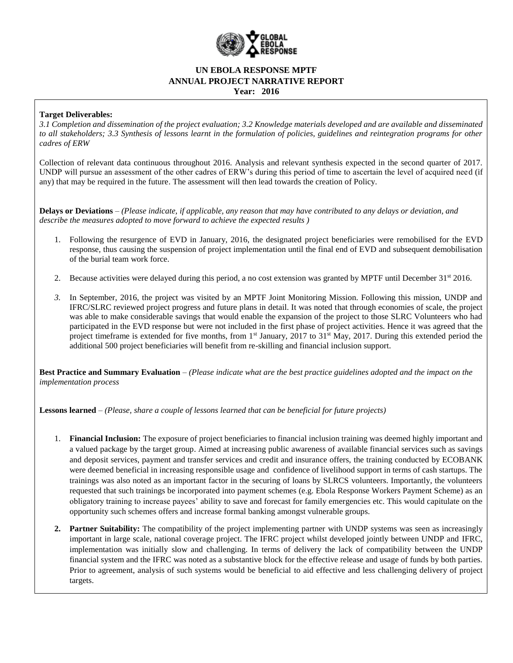

## **Target Deliverables:**

*3.1 Completion and dissemination of the project evaluation; 3.2 Knowledge materials developed and are available and disseminated to all stakeholders; 3.3 Synthesis of lessons learnt in the formulation of policies, guidelines and reintegration programs for other cadres of ERW* 

Collection of relevant data continuous throughout 2016. Analysis and relevant synthesis expected in the second quarter of 2017. UNDP will pursue an assessment of the other cadres of ERW's during this period of time to ascertain the level of acquired need (if any) that may be required in the future. The assessment will then lead towards the creation of Policy.

**Delays or Deviations** *– (Please indicate, if applicable, any reason that may have contributed to any delays or deviation, and describe the measures adopted to move forward to achieve the expected results )*

- 1. Following the resurgence of EVD in January, 2016, the designated project beneficiaries were remobilised for the EVD response, thus causing the suspension of project implementation until the final end of EVD and subsequent demobilisation of the burial team work force.
- 2. Because activities were delayed during this period, a no cost extension was granted by MPTF until December  $31<sup>st</sup> 2016$ .
- *3.* In September, 2016, the project was visited by an MPTF Joint Monitoring Mission. Following this mission, UNDP and IFRC/SLRC reviewed project progress and future plans in detail. It was noted that through economies of scale, the project was able to make considerable savings that would enable the expansion of the project to those SLRC Volunteers who had participated in the EVD response but were not included in the first phase of project activities. Hence it was agreed that the project timeframe is extended for five months, from 1<sup>st</sup> January, 2017 to 31<sup>st</sup> May, 2017. During this extended period the additional 500 project beneficiaries will benefit from re-skilling and financial inclusion support.

**Best Practice and Summary Evaluation** *– (Please indicate what are the best practice guidelines adopted and the impact on the implementation process*

**Lessons learned** *– (Please, share a couple of lessons learned that can be beneficial for future projects)* 

- 1. **Financial Inclusion:** The exposure of project beneficiaries to financial inclusion training was deemed highly important and a valued package by the target group. Aimed at increasing public awareness of available financial services such as savings and deposit services, payment and transfer services and credit and insurance offers, the training conducted by ECOBANK were deemed beneficial in increasing responsible usage and confidence of livelihood support in terms of cash startups. The trainings was also noted as an important factor in the securing of loans by SLRCS volunteers. Importantly, the volunteers requested that such trainings be incorporated into payment schemes (e.g. Ebola Response Workers Payment Scheme) as an obligatory training to increase payees' ability to save and forecast for family emergencies etc. This would capitulate on the opportunity such schemes offers and increase formal banking amongst vulnerable groups.
- **2. Partner Suitability:** The compatibility of the project implementing partner with UNDP systems was seen as increasingly important in large scale, national coverage project. The IFRC project whilst developed jointly between UNDP and IFRC, implementation was initially slow and challenging. In terms of delivery the lack of compatibility between the UNDP financial system and the IFRC was noted as a substantive block for the effective release and usage of funds by both parties. Prior to agreement, analysis of such systems would be beneficial to aid effective and less challenging delivery of project targets.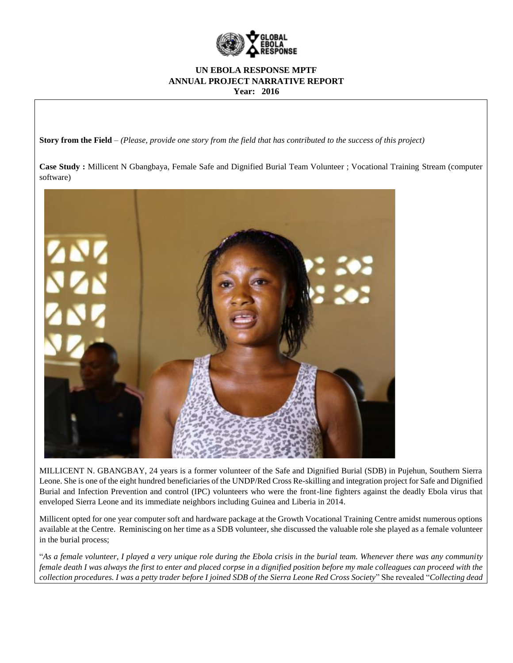

**Story from the Field** *– (Please, provide one story from the field that has contributed to the success of this project)* 

**Case Study :** Millicent N Gbangbaya, Female Safe and Dignified Burial Team Volunteer ; Vocational Training Stream (computer software)



MILLICENT N. GBANGBAY, 24 years is a former volunteer of the Safe and Dignified Burial (SDB) in Pujehun, Southern Sierra Leone. She is one of the eight hundred beneficiaries of the UNDP/Red Cross Re-skilling and integration project for Safe and Dignified Burial and Infection Prevention and control (IPC) volunteers who were the front-line fighters against the deadly Ebola virus that enveloped Sierra Leone and its immediate neighbors including Guinea and Liberia in 2014.

Millicent opted for one year computer soft and hardware package at the Growth Vocational Training Centre amidst numerous options available at the Centre. Reminiscing on her time as a SDB volunteer, she discussed the valuable role she played as a female volunteer in the burial process;

"*As a female volunteer, I played a very unique role during the Ebola crisis in the burial team. Whenever there was any community female death I was always the first to enter and placed corpse in a dignified position before my male colleagues can proceed with the collection procedures. I was a petty trader before I joined SDB of the Sierra Leone Red Cross Society*" She revealed "*Collecting dead*